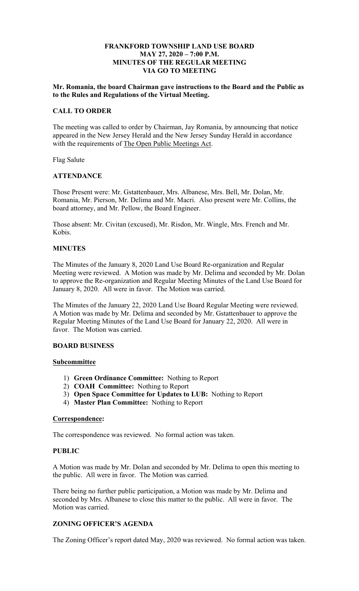#### **MAY 27, 2020 – 7:00 P.M. FRANKFORD TOWNSHIP LAND USE BOARD MINUTES OF THE REGULAR MEETING VIA GO TO MEETING**

#### **Mr. Romania, the board Chairman gave instructions to the Board and the Public as to the Rules and Regulations of the Virtual Meeting.**

# **CALL TO ORDER**

with the requirements of The Open Public Meetings Act. The meeting was called to order by Chairman, Jay Romania, by announcing that notice appeared in the New Jersey Herald and the New Jersey Sunday Herald in accordance

Flag Salute

## **ATTENDANCE**

 Romania, Mr. Pierson, Mr. Delima and Mr. Macri. Also present were Mr. Collins, the Those Present were: Mr. Gstattenbauer, Mrs. Albanese, Mrs. Bell, Mr. Dolan, Mr. board attorney, and Mr. Pellow, the Board Engineer.

Those absent: Mr. Civitan (excused), Mr. Risdon, Mr. Wingle, Mrs. French and Mr. Kobis.

#### **MINUTES**

The Minutes of the January 8, 2020 Land Use Board Re-organization and Regular Meeting were reviewed. A Motion was made by Mr. Delima and seconded by Mr. Dolan to approve the Re-organization and Regular Meeting Minutes of the Land Use Board for January 8, 2020. All were in favor. The Motion was carried.

The Minutes of the January 22, 2020 Land Use Board Regular Meeting were reviewed. A Motion was made by Mr. Delima and seconded by Mr. Gstattenbauer to approve the Regular Meeting Minutes of the Land Use Board for January 22, 2020. All were in favor. The Motion was carried.

#### **BOARD BUSINESS**

## **Subcommittee**

- 1) **Green Ordinance Committee:** Nothing to Report
- 2) **COAH Committee:** Nothing to Report
- 3) **Open Space Committee for Updates to LUB:** Nothing to Report
- 4) **Master Plan Committee:** Nothing to Report

#### **Correspondence:**

The correspondence was reviewed. No formal action was taken.

#### **PUBLIC**

A Motion was made by Mr. Dolan and seconded by Mr. Delima to open this meeting to the public. All were in favor. The Motion was carried.

There being no further public participation, a Motion was made by Mr. Delima and seconded by Mrs. Albanese to close this matter to the public. All were in favor. The Motion was carried.

# **ZONING OFFICER'S AGENDA**

The Zoning Officer's report dated May, 2020 was reviewed. No formal action was taken.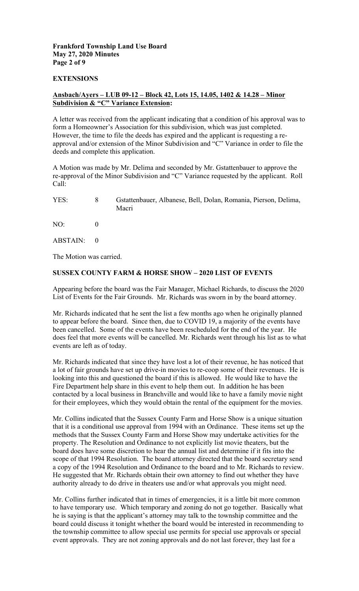# **Frankford Township Land Use Board May 27, 2020 Minutes Page 2 of 9**

#### **EXTENSIONS**

### **Ansbach/Ayers – LUB 09-12 – Block 42, Lots 15, 14.05, 1402 & 14.28 – Minor Subdivision & "C" Variance Extension:**

A letter was received from the applicant indicating that a condition of his approval was to form a Homeowner's Association for this subdivision, which was just completed. However, the time to file the deeds has expired and the applicant is requesting a reapproval and/or extension of the Minor Subdivision and "C" Variance in order to file the deeds and complete this application.

A Motion was made by Mr. Delima and seconded by Mr. Gstattenbauer to approve the re-approval of the Minor Subdivision and "C" Variance requested by the applicant. Roll Call:

| YES: | Gstattenbauer, Albanese, Bell, Dolan, Romania, Pierson, Delima, |
|------|-----------------------------------------------------------------|
|      | Macri                                                           |

NO: 0

ABSTAIN: 0

The Motion was carried.

## **SUSSEX COUNTY FARM & HORSE SHOW – 2020 LIST OF EVENTS**

 List of Events for the Fair Grounds. Mr. Richards was sworn in by the board attorney. Appearing before the board was the Fair Manager, Michael Richards, to discuss the 2020

Mr. Richards indicated that he sent the list a few months ago when he originally planned to appear before the board. Since then, due to COVID 19, a majority of the events have been cancelled. Some of the events have been rescheduled for the end of the year. He does feel that more events will be cancelled. Mr. Richards went through his list as to what events are left as of today.

Mr. Richards indicated that since they have lost a lot of their revenue, he has noticed that a lot of fair grounds have set up drive-in movies to re-coop some of their revenues. He is looking into this and questioned the board if this is allowed. He would like to have the Fire Department help share in this event to help them out. In addition he has been contacted by a local business in Branchville and would like to have a family movie night for their employees, which they would obtain the rental of the equipment for the movies.

 property. The Resolution and Ordinance to not explicitly list movie theaters, but the Mr. Collins indicated that the Sussex County Farm and Horse Show is a unique situation that it is a conditional use approval from 1994 with an Ordinance. These items set up the methods that the Sussex County Farm and Horse Show may undertake activities for the board does have some discretion to hear the annual list and determine if it fits into the scope of that 1994 Resolution. The board attorney directed that the board secretary send a copy of the 1994 Resolution and Ordinance to the board and to Mr. Richards to review. He suggested that Mr. Richards obtain their own attorney to find out whether they have authority already to do drive in theaters use and/or what approvals you might need.

 event approvals. They are not zoning approvals and do not last forever, they last for a Mr. Collins further indicated that in times of emergencies, it is a little bit more common to have temporary use. Which temporary and zoning do not go together. Basically what he is saying is that the applicant's attorney may talk to the township committee and the board could discuss it tonight whether the board would be interested in recommending to the township committee to allow special use permits for special use approvals or special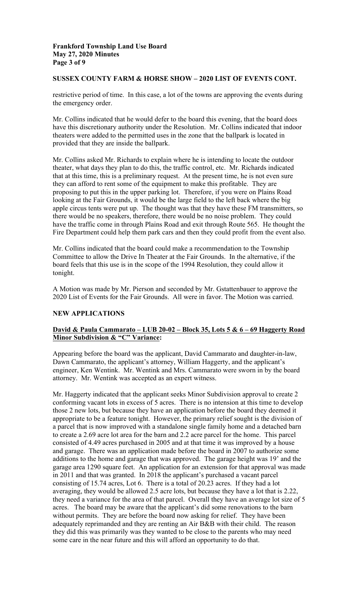## **Frankford Township Land Use Board May 27, 2020 Minutes Page 3 of 9**

#### **SUSSEX COUNTY FARM & HORSE SHOW – 2020 LIST OF EVENTS CONT.**

restrictive period of time. In this case, a lot of the towns are approving the events during the emergency order.

Mr. Collins indicated that he would defer to the board this evening, that the board does have this discretionary authority under the Resolution. Mr. Collins indicated that indoor theaters were added to the permitted uses in the zone that the ballpark is located in provided that they are inside the ballpark.

 Mr. Collins asked Mr. Richards to explain where he is intending to locate the outdoor apple circus tents were put up. The thought was that they have these FM transmitters, so theater, what days they plan to do this, the traffic control, etc. Mr. Richards indicated that at this time, this is a preliminary request. At the present time, he is not even sure they can afford to rent some of the equipment to make this profitable. They are proposing to put this in the upper parking lot. Therefore, if you were on Plains Road looking at the Fair Grounds, it would be the large field to the left back where the big there would be no speakers, therefore, there would be no noise problem. They could have the traffic come in through Plains Road and exit through Route 565. He thought the Fire Department could help them park cars and then they could profit from the event also.

tonight. Mr. Collins indicated that the board could make a recommendation to the Township Committee to allow the Drive In Theater at the Fair Grounds. In the alternative, if the board feels that this use is in the scope of the 1994 Resolution, they could allow it

A Motion was made by Mr. Pierson and seconded by Mr. Gstattenbauer to approve the 2020 List of Events for the Fair Grounds. All were in favor. The Motion was carried.

## **NEW APPLICATIONS**

## **David & Paula Cammarato – LUB 20-02 – Block 35, Lots 5 & 6 – 69 Haggerty Road Minor Subdivision & "C" Variance:**

 attorney. Mr. Wentink was accepted as an expert witness. Appearing before the board was the applicant, David Cammarato and daughter-in-law, Dawn Cammarato, the applicant's attorney, William Haggerty, and the applicant's engineer, Ken Wentink. Mr. Wentink and Mrs. Cammarato were sworn in by the board

 a parcel that is now improved with a standalone single family home and a detached barn garage area 1290 square feet. An application for an extension for that approval was made Mr. Haggerty indicated that the applicant seeks Minor Subdivision approval to create 2 conforming vacant lots in excess of 5 acres. There is no intension at this time to develop those 2 new lots, but because they have an application before the board they deemed it appropriate to be a feature tonight. However, the primary relief sought is the division of to create a 2.69 acre lot area for the barn and 2.2 acre parcel for the home. This parcel consisted of 4.49 acres purchased in 2005 and at that time it was improved by a house and garage. There was an application made before the board in 2007 to authorize some additions to the home and garage that was approved. The garage height was 19' and the in 2011 and that was granted. In 2018 the applicant's purchased a vacant parcel consisting of 15.74 acres, Lot 6. There is a total of 20.23 acres. If they had a lot averaging, they would be allowed 2.5 acre lots, but because they have a lot that is 2.22, they need a variance for the area of that parcel. Overall they have an average lot size of 5 acres. The board may be aware that the applicant's did some renovations to the barn without permits. They are before the board now asking for relief. They have been adequately reprimanded and they are renting an Air B&B with their child. The reason they did this was primarily was they wanted to be close to the parents who may need some care in the near future and this will afford an opportunity to do that.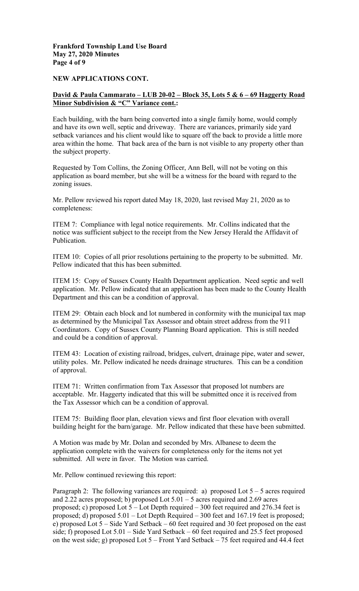**Frankford Township Land Use Board May 27, 2020 Minutes Page 4 of 9** 

**NEW APPLICATIONS CONT.** 

## **David & Paula Cammarato – LUB 20-02 – Block 35, Lots 5 & 6 – 69 Haggerty Road Minor Subdivision & "C" Variance cont.:**

Each building, with the barn being converted into a single family home, would comply and have its own well, septic and driveway. There are variances, primarily side yard setback variances and his client would like to square off the back to provide a little more area within the home. That back area of the barn is not visible to any property other than the subject property.

Requested by Tom Collins, the Zoning Officer, Ann Bell, will not be voting on this application as board member, but she will be a witness for the board with regard to the zoning issues.

Mr. Pellow reviewed his report dated May 18, 2020, last revised May 21, 2020 as to completeness:

ITEM 7: Compliance with legal notice requirements. Mr. Collins indicated that the notice was sufficient subject to the receipt from the New Jersey Herald the Affidavit of Publication.

ITEM 10: Copies of all prior resolutions pertaining to the property to be submitted. Mr. Pellow indicated that this has been submitted.

ITEM 15: Copy of Sussex County Health Department application. Need septic and well application. Mr. Pellow indicated that an application has been made to the County Health Department and this can be a condition of approval.

ITEM 29: Obtain each block and lot numbered in conformity with the municipal tax map as determined by the Municipal Tax Assessor and obtain street address from the 911 Coordinators. Copy of Sussex County Planning Board application. This is still needed and could be a condition of approval.

ITEM 43: Location of existing railroad, bridges, culvert, drainage pipe, water and sewer, utility poles. Mr. Pellow indicated he needs drainage structures. This can be a condition of approval.

ITEM 71: Written confirmation from Tax Assessor that proposed lot numbers are acceptable. Mr. Haggerty indicated that this will be submitted once it is received from the Tax Assessor which can be a condition of approval.

ITEM 75: Building floor plan, elevation views and first floor elevation with overall building height for the barn/garage. Mr. Pellow indicated that these have been submitted.

A Motion was made by Mr. Dolan and seconded by Mrs. Albanese to deem the application complete with the waivers for completeness only for the items not yet submitted. All were in favor. The Motion was carried.

Mr. Pellow continued reviewing this report:

 proposed; c) proposed Lot 5 – Lot Depth required – 300 feet required and 276.34 feet is on the west side; g) proposed Lot 5 – Front Yard Setback – 75 feet required and 44.4 feet Paragraph 2: The following variances are required: a) proposed Lot  $5 - 5$  acres required and 2.22 acres proposed; b) proposed Lot  $5.01 - 5$  acres required and 2.69 acres proposed; d) proposed 5.01 – Lot Depth Required – 300 feet and 167.19 feet is proposed; e) proposed Lot 5 – Side Yard Setback – 60 feet required and 30 feet proposed on the east side; f) proposed Lot 5.01 – Side Yard Setback – 60 feet required and 25.5 feet proposed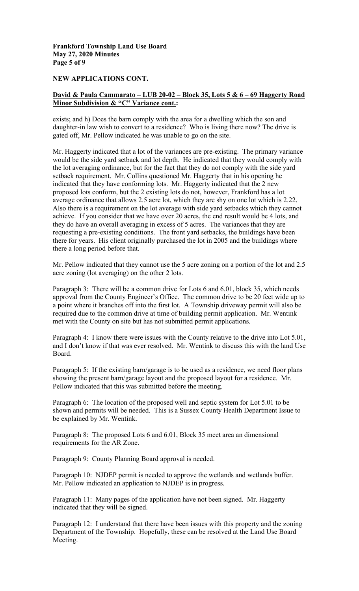**Frankford Township Land Use Board May 27, 2020 Minutes Page 5 of 9** 

#### **NEW APPLICATIONS CONT.**

# **David & Paula Cammarato – LUB 20-02 – Block 35, Lots 5 & 6 – 69 Haggerty Road Minor Subdivision & "C" Variance cont.:**

exists; and h) Does the barn comply with the area for a dwelling which the son and daughter-in law wish to convert to a residence? Who is living there now? The drive is gated off, Mr. Pellow indicated he was unable to go on the site.

Mr. Haggerty indicated that a lot of the variances are pre-existing. The primary variance would be the side yard setback and lot depth. He indicated that they would comply with the lot averaging ordinance, but for the fact that they do not comply with the side yard setback requirement. Mr. Collins questioned Mr. Haggerty that in his opening he indicated that they have conforming lots. Mr. Haggerty indicated that the 2 new proposed lots conform, but the 2 existing lots do not, however, Frankford has a lot average ordinance that allows 2.5 acre lot, which they are shy on one lot which is 2.22. Also there is a requirement on the lot average with side yard setbacks which they cannot achieve. If you consider that we have over 20 acres, the end result would be 4 lots, and they do have an overall averaging in excess of 5 acres. The variances that they are requesting a pre-existing conditions. The front yard setbacks, the buildings have been there for years. His client originally purchased the lot in 2005 and the buildings where there a long period before that.

Mr. Pellow indicated that they cannot use the 5 acre zoning on a portion of the lot and 2.5 acre zoning (lot averaging) on the other 2 lots.

Paragraph 3: There will be a common drive for Lots 6 and 6.01, block 35, which needs approval from the County Engineer's Office. The common drive to be 20 feet wide up to a point where it branches off into the first lot. A Township driveway permit will also be required due to the common drive at time of building permit application. Mr. Wentink met with the County on site but has not submitted permit applications.

Paragraph 4: I know there were issues with the County relative to the drive into Lot 5.01, and I don't know if that was ever resolved. Mr. Wentink to discuss this with the land Use Board.

Paragraph 5: If the existing barn/garage is to be used as a residence, we need floor plans showing the present barn/garage layout and the proposed layout for a residence. Mr. Pellow indicated that this was submitted before the meeting.

Paragraph 6: The location of the proposed well and septic system for Lot 5.01 to be shown and permits will be needed. This is a Sussex County Health Department Issue to be explained by Mr. Wentink.

Paragraph 8: The proposed Lots 6 and 6.01, Block 35 meet area an dimensional requirements for the AR Zone.

Paragraph 9: County Planning Board approval is needed.

Paragraph 10: NJDEP permit is needed to approve the wetlands and wetlands buffer. Mr. Pellow indicated an application to NJDEP is in progress.

Paragraph 11: Many pages of the application have not been signed. Mr. Haggerty indicated that they will be signed.

Paragraph 12: I understand that there have been issues with this property and the zoning Department of the Township. Hopefully, these can be resolved at the Land Use Board Meeting.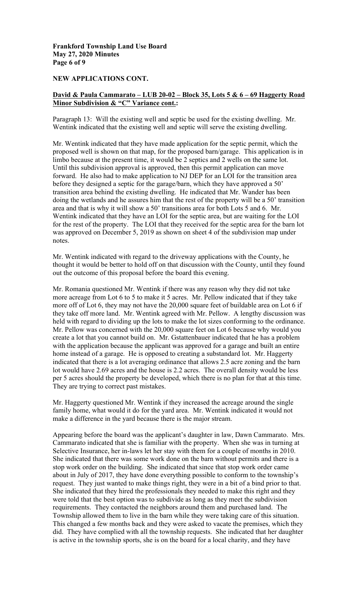**Frankford Township Land Use Board May 27, 2020 Minutes Page 6 of 9** 

#### **NEW APPLICATIONS CONT.**

### **David & Paula Cammarato – LUB 20-02 – Block 35, Lots 5 & 6 – 69 Haggerty Road Minor Subdivision & "C" Variance cont.:**

Paragraph 13: Will the existing well and septic be used for the existing dwelling. Mr. Wentink indicated that the existing well and septic will serve the existing dwelling.

Mr. Wentink indicated that they have made application for the septic permit, which the proposed well is shown on that map, for the proposed barn/garage. This application is in limbo because at the present time, it would be 2 septics and 2 wells on the same lot. Until this subdivision approval is approved, then this permit application can move forward. He also had to make application to NJ DEP for an LOI for the transition area before they designed a septic for the garage/barn, which they have approved a 50' transition area behind the existing dwelling. He indicated that Mr. Wander has been doing the wetlands and he assures him that the rest of the property will be a 50' transition area and that is why it will show a 50' transitions area for both Lots 5 and 6. Mr. Wentink indicated that they have an LOI for the septic area, but are waiting for the LOI for the rest of the property. The LOI that they received for the septic area for the barn lot was approved on December 5, 2019 as shown on sheet 4 of the subdivision map under notes.

Mr. Wentink indicated with regard to the driveway applications with the County, he thought it would be better to hold off on that discussion with the County, until they found out the outcome of this proposal before the board this evening.

Mr. Romania questioned Mr. Wentink if there was any reason why they did not take more acreage from Lot 6 to 5 to make it 5 acres. Mr. Pellow indicated that if they take more off of Lot 6, they may not have the 20,000 square feet of buildable area on Lot 6 if they take off more land. Mr. Wentink agreed with Mr. Pellow. A lengthy discussion was held with regard to dividing up the lots to make the lot sizes conforming to the ordinance. Mr. Pellow was concerned with the 20,000 square feet on Lot 6 because why would you create a lot that you cannot build on. Mr. Gstattenbauer indicated that he has a problem with the application because the applicant was approved for a garage and built an entire home instead of a garage. He is opposed to creating a substandard lot. Mr. Haggerty indicated that there is a lot averaging ordinance that allows 2.5 acre zoning and the barn lot would have 2.69 acres and the house is 2.2 acres. The overall density would be less per 5 acres should the property be developed, which there is no plan for that at this time. They are trying to correct past mistakes.

 family home, what would it do for the yard area. Mr. Wentink indicated it would not Mr. Haggerty questioned Mr. Wentink if they increased the acreage around the single make a difference in the yard because there is the major stream.

 Cammarato indicated that she is familiar with the property. When she was in turning at is active in the township sports, she is on the board for a local charity, and they have Appearing before the board was the applicant's daughter in law, Dawn Cammarato. Mrs. Selective Insurance, her in-laws let her stay with them for a couple of months in 2010. She indicated that there was some work done on the barn without permits and there is a stop work order on the building. She indicated that since that stop work order came about in July of 2017, they have done everything possible to conform to the township's request. They just wanted to make things right, they were in a bit of a bind prior to that. She indicated that they hired the professionals they needed to make this right and they were told that the best option was to subdivide as long as they meet the subdivision requirements. They contacted the neighbors around them and purchased land. The Township allowed them to live in the barn while they were taking care of this situation. This changed a few months back and they were asked to vacate the premises, which they did. They have complied with all the township requests. She indicated that her daughter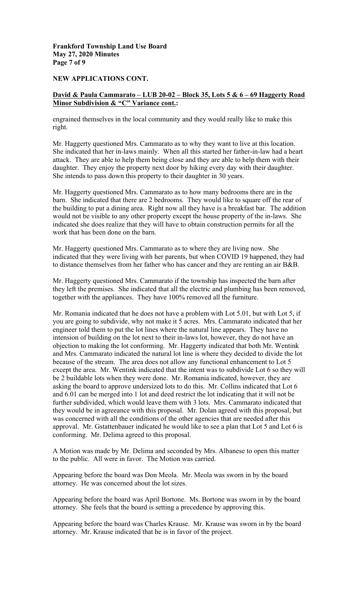**Frankford Township Land Use Board May 27, 2020 Minutes Page 7 of 9** 

#### **NEW APPLICATIONS CONT.**

# **David & Paula Cammarato – LUB 20-02 – Block 35, Lots 5 & 6 – 69 Haggerty Road Minor Subdivision & "C" Variance cont.:**

engrained themselves in the local community and they would really like to make this right.

Mr. Haggerty questioned Mrs. Cammarato as to why they want to live at this location. She indicated that her in-laws mainly. When all this started her father-in-law had a heart attack. They are able to help them being close and they are able to help them with their daughter. They enjoy the property next door by hiking every day with their daughter. She intends to pass down this property to their daughter in 30 years.

 barn. She indicated that there are 2 bedrooms. They would like to square off the rear of Mr. Haggerty questioned Mrs. Cammarato as to how many bedrooms there are in the the building to put a dining area. Right now all they have is a breakfast bar. The addition would not be visible to any other property except the house property of the in-laws. She indicated she does realize that they will have to obtain construction permits for all the work that has been done on the barn.

Mr. Haggerty questioned Mrs. Cammarato as to where they are living now. She indicated that they were living with her parents, but when COVID 19 happened, they had to distance themselves from her father who has cancer and they are renting an air B&B.

Mr. Haggerty questioned Mrs. Cammarato if the township has inspected the barn after they left the premises. She indicated that all the electric and plumbing has been removed, together with the appliances. They have 100% removed all the furniture.

 approval. Mr. Gstattenbauer indicated he would like to see a plan that Lot 5 and Lot 6 is Mr. Romania indicated that he does not have a problem with Lot 5.01, but with Lot 5, if you are going to subdivide, why not make it 5 acres. Mrs. Cammarato indicated that her engineer told them to put the lot lines where the natural line appears. They have no intension of building on the lot next to their in-laws lot, however, they do not have an objection to making the lot conforming. Mr. Haggerty indicated that both Mr. Wentink and Mrs. Cammarato indicated the natural lot line is where they decided to divide the lot because of the stream. The area does not allow any functional enhancement to Lot 5 except the area. Mr. Wentink indicated that the intent was to subdivide Lot 6 so they will be 2 buildable lots when they were done. Mr. Romania indicated, however, they are asking the board to approve undersized lots to do this. Mr. Collins indicated that Lot 6 and 6.01 can be merged into 1 lot and deed restrict the lot indicating that it will not be further subdivided, which would leave them with 3 lots. Mrs. Cammarato indicated that they would be in agreeance with this proposal. Mr. Dolan agreed with this proposal, but was concerned with all the conditions of the other agencies that are needed after this conforming. Mr. Delima agreed to this proposal.

A Motion was made by Mr. Delima and seconded by Mrs. Albanese to open this matter to the public. All were in favor. The Motion was carried.

 attorney. He was concerned about the lot sizes. Appearing before the board was Don Meola. Mr. Meola was sworn in by the board

 attorney. She feels that the board is setting a precedence by approving this. Appearing before the board was April Bortone. Ms. Bortone was sworn in by the board

 attorney. Mr. Krause indicated that he is in favor of the project. Appearing before the board was Charles Krause. Mr. Krause was sworn in by the board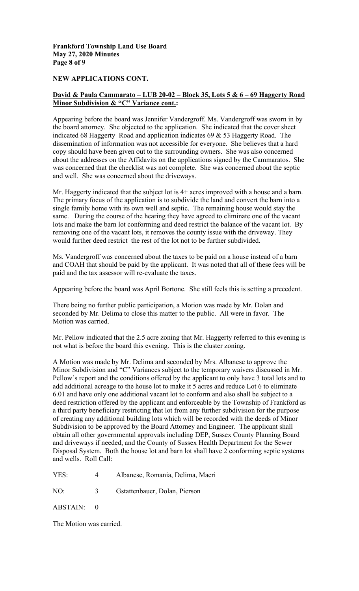**Frankford Township Land Use Board May 27, 2020 Minutes Page 8 of 9** 

#### **NEW APPLICATIONS CONT.**

# **David & Paula Cammarato – LUB 20-02 – Block 35, Lots 5 & 6 – 69 Haggerty Road Minor Subdivision & "C" Variance cont.:**

 the board attorney. She objected to the application. She indicated that the cover sheet Appearing before the board was Jennifer Vandergroff. Ms. Vandergroff was sworn in by indicated 68 Haggerty Road and application indicates 69 & 53 Haggerty Road. The dissemination of information was not accessible for everyone. She believes that a hard copy should have been given out to the surrounding owners. She was also concerned about the addresses on the Affidavits on the applications signed by the Cammaratos. She was concerned that the checklist was not complete. She was concerned about the septic and well. She was concerned about the driveways.

Mr. Haggerty indicated that the subject lot is 4+ acres improved with a house and a barn. The primary focus of the application is to subdivide the land and convert the barn into a single family home with its own well and septic. The remaining house would stay the same. During the course of the hearing they have agreed to eliminate one of the vacant lots and make the barn lot conforming and deed restrict the balance of the vacant lot. By removing one of the vacant lots, it removes the county issue with the driveway. They would further deed restrict the rest of the lot not to be further subdivided.

Ms. Vandergroff was concerned about the taxes to be paid on a house instead of a barn and COAH that should be paid by the applicant. It was noted that all of these fees will be paid and the tax assessor will re-evaluate the taxes.

Appearing before the board was April Bortone. She still feels this is setting a precedent.

There being no further public participation, a Motion was made by Mr. Dolan and seconded by Mr. Delima to close this matter to the public. All were in favor. The Motion was carried.

Mr. Pellow indicated that the 2.5 acre zoning that Mr. Haggerty referred to this evening is not what is before the board this evening. This is the cluster zoning.

 6.01 and have only one additional vacant lot to conform and also shall be subject to a A Motion was made by Mr. Delima and seconded by Mrs. Albanese to approve the Minor Subdivision and "C" Variances subject to the temporary waivers discussed in Mr. Pellow's report and the conditions offered by the applicant to only have 3 total lots and to add additional acreage to the house lot to make it 5 acres and reduce Lot 6 to eliminate deed restriction offered by the applicant and enforceable by the Township of Frankford as a third party beneficiary restricting that lot from any further subdivision for the purpose of creating any additional building lots which will be recorded with the deeds of Minor Subdivision to be approved by the Board Attorney and Engineer. The applicant shall obtain all other governmental approvals including DEP, Sussex County Planning Board and driveways if needed, and the County of Sussex Health Department for the Sewer Disposal System. Both the house lot and barn lot shall have 2 conforming septic systems and wells. Roll Call:

| YES: | Albanese, Romania, Delima, Macri |  |  |  |
|------|----------------------------------|--|--|--|
|------|----------------------------------|--|--|--|

NO: 3 Gstattenbauer, Dolan, Pierson

ABSTAIN: 0

The Motion was carried.